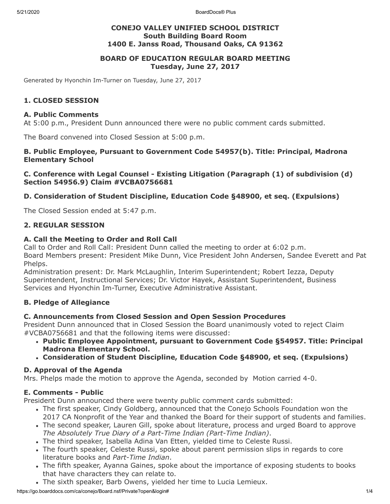5/21/2020 BoardDocs® Plus

### **CONEJO VALLEY UNIFIED SCHOOL DISTRICT South Building Board Room 1400 E. Janss Road, Thousand Oaks, CA 91362**

### **BOARD OF EDUCATION REGULAR BOARD MEETING Tuesday, June 27, 2017**

Generated by Hyonchin Im-Turner on Tuesday, June 27, 2017

### **1. CLOSED SESSION**

#### **A. Public Comments**

At 5:00 p.m., President Dunn announced there were no public comment cards submitted.

The Board convened into Closed Session at 5:00 p.m.

#### **B. Public Employee, Pursuant to Government Code 54957(b). Title: Principal, Madrona Elementary School**

#### **C. Conference with Legal Counsel - Existing Litigation (Paragraph (1) of subdivision (d) Section 54956.9) Claim #VCBA0756681**

### **D. Consideration of Student Discipline, Education Code §48900, et seq. (Expulsions)**

The Closed Session ended at 5:47 p.m.

### **2. REGULAR SESSION**

### **A. Call the Meeting to Order and Roll Call**

Call to Order and Roll Call: President Dunn called the meeting to order at 6:02 p.m. Board Members present: President Mike Dunn, Vice President John Andersen, Sandee Everett and Pat Phelps.

Administration present: Dr. Mark McLaughlin, Interim Superintendent; Robert Iezza, Deputy Superintendent, Instructional Services; Dr. Victor Hayek, Assistant Superintendent, Business Services and Hyonchin Im-Turner, Executive Administrative Assistant.

### **B. Pledge of Allegiance**

### **C. Announcements from Closed Session and Open Session Procedures**

President Dunn announced that in Closed Session the Board unanimously voted to reject Claim #VCBA0756681 and that the following items were discussed:

- **Public Employee Appointment, pursuant to Government Code §54957. Title: Principal Madrona Elementary School.**
- **Consideration of Student Discipline, Education Code §48900, et seq. (Expulsions)**

### **D. Approval of the Agenda**

Mrs. Phelps made the motion to approve the Agenda, seconded by Motion carried 4-0.

### **E. Comments - Public**

President Dunn announced there were twenty public comment cards submitted:

- The first speaker, Cindy Goldberg, announced that the Conejo Schools Foundation won the 2017 CA Nonprofit of the Year and thanked the Board for their support of students and families.
- The second speaker, Lauren Gill, spoke about literature, process and urged Board to approve *The Absolutely True Diary of a Part-Time Indian (Part-Time Indian)*.
- The third speaker, Isabella Adina Van Etten, yielded time to Celeste Russi.
- The fourth speaker, Celeste Russi, spoke about parent permission slips in regards to core literature books and *Part-Time Indian*.
- The fifth speaker, Ayanna Gaines, spoke about the importance of exposing students to books that have characters they can relate to.
- The sixth speaker, Barb Owens, yielded her time to Lucia Lemieux.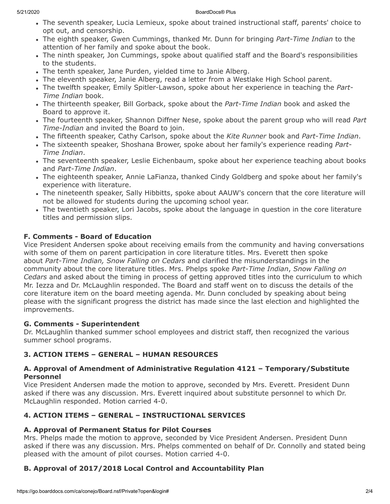- The seventh speaker, Lucia Lemieux, spoke about trained instructional staff, parents' choice to opt out, and censorship.
- The eighth speaker, Gwen Cummings, thanked Mr. Dunn for bringing *Part-Time Indian* to the attention of her family and spoke about the book.
- The ninth speaker, Jon Cummings, spoke about qualified staff and the Board's responsibilities to the students.
- The tenth speaker, Jane Purden, yielded time to Janie Alberg.
- The eleventh speaker, Janie Alberg, read a letter from a Westlake High School parent.
- The twelfth speaker, Emily Spitler-Lawson, spoke about her experience in teaching the *Part-Time Indian* book.
- The thirteenth speaker, Bill Gorback, spoke about the *Part-Time Indian* book and asked the Board to approve it.
- The fourteenth speaker, Shannon Diffner Nese, spoke about the parent group who will read *Part Time-Indian* and invited the Board to join.
- The fifteenth speaker, Cathy Carlson, spoke about the *Kite Runner* book and *Part-Time Indian*.
- The sixteenth speaker, Shoshana Brower, spoke about her family's experience reading *Part-Time Indian*.
- The seventeenth speaker, Leslie Eichenbaum, spoke about her experience teaching about books and *Part-Time Indian*.
- The eighteenth speaker, Annie LaFianza, thanked Cindy Goldberg and spoke about her family's experience with literature.
- The nineteenth speaker, Sally Hibbitts, spoke about AAUW's concern that the core literature will not be allowed for students during the upcoming school year.
- The twentieth speaker, Lori Jacobs, spoke about the language in question in the core literature titles and permission slips.

## **F. Comments - Board of Education**

Vice President Andersen spoke about receiving emails from the community and having conversations with some of them on parent participation in core literature titles. Mrs. Everett then spoke about *Part-Time Indian, Snow Falling on Cedars* and clarified the misunderstandings in the community about the core literature titles. Mrs. Phelps spoke *Part-Time Indian*, *Snow Falling on Cedars* and asked about the timing in process of getting approved titles into the curriculum to which Mr. Iezza and Dr. McLaughlin responded. The Board and staff went on to discuss the details of the core literature item on the board meeting agenda. Mr. Dunn concluded by speaking about being please with the significant progress the district has made since the last election and highlighted the improvements.

## **G. Comments - Superintendent**

Dr. McLaughlin thanked summer school employees and district staff, then recognized the various summer school programs.

## **3. ACTION ITEMS – GENERAL – HUMAN RESOURCES**

### **A. Approval of Amendment of Administrative Regulation 4121 – Temporary/Substitute Personnel**

Vice President Andersen made the motion to approve, seconded by Mrs. Everett. President Dunn asked if there was any discussion. Mrs. Everett inquired about substitute personnel to which Dr. McLaughlin responded. Motion carried 4-0.

# **4. ACTION ITEMS – GENERAL – INSTRUCTIONAL SERVICES**

## **A. Approval of Permanent Status for Pilot Courses**

Mrs. Phelps made the motion to approve, seconded by Vice President Andersen. President Dunn asked if there was any discussion. Mrs. Phelps commented on behalf of Dr. Connolly and stated being pleased with the amount of pilot courses. Motion carried 4-0.

# **B. Approval of 2017/2018 Local Control and Accountability Plan**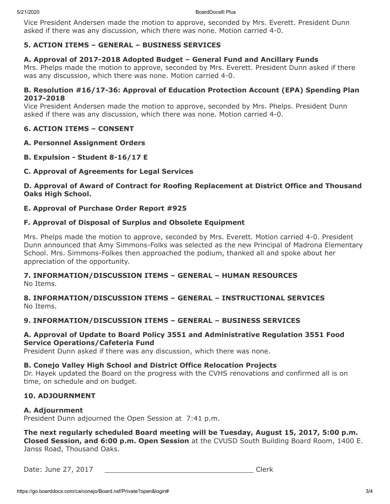Vice President Andersen made the motion to approve, seconded by Mrs. Everett. President Dunn asked if there was any discussion, which there was none. Motion carried 4-0.

## **5. ACTION ITEMS – GENERAL – BUSINESS SERVICES**

### **A. Approval of 2017-2018 Adopted Budget – General Fund and Ancillary Funds**

Mrs. Phelps made the motion to approve, seconded by Mrs. Everett. President Dunn asked if there was any discussion, which there was none. Motion carried 4-0.

### **B. Resolution #16/17-36: Approval of Education Protection Account (EPA) Spending Plan 2017-2018**

Vice President Andersen made the motion to approve, seconded by Mrs. Phelps. President Dunn asked if there was any discussion, which there was none. Motion carried 4-0.

### **6. ACTION ITEMS – CONSENT**

#### **A. Personnel Assignment Orders**

**B. Expulsion - Student 8-16/17 E**

### **C. Approval of Agreements for Legal Services**

**D. Approval of Award of Contract for Roofing Replacement at District Office and Thousand Oaks High School.**

### **E. Approval of Purchase Order Report #925**

### **F. Approval of Disposal of Surplus and Obsolete Equipment**

Mrs. Phelps made the motion to approve, seconded by Mrs. Everett. Motion carried 4-0. President Dunn announced that Amy Simmons-Folks was selected as the new Principal of Madrona Elementary School. Mrs. Simmons-Folkes then approached the podium, thanked all and spoke about her appreciation of the opportunity.

#### **7. INFORMATION/DISCUSSION ITEMS – GENERAL – HUMAN RESOURCES** No Items.

**8. INFORMATION/DISCUSSION ITEMS – GENERAL – INSTRUCTIONAL SERVICES** No Items.

### **9. INFORMATION/DISCUSSION ITEMS – GENERAL – BUSINESS SERVICES**

### **A. Approval of Update to Board Policy 3551 and Administrative Regulation 3551 Food Service Operations/Cafeteria Fund**

President Dunn asked if there was any discussion, which there was none.

#### **B. Conejo Valley High School and District Office Relocation Projects**

Dr. Hayek updated the Board on the progress with the CVHS renovations and confirmed all is on time, on schedule and on budget.

### **10. ADJOURNMENT**

#### **A. Adjournment**

President Dunn adjourned the Open Session at 7:41 p.m.

**The next regularly scheduled Board meeting will be Tuesday, August 15, 2017, 5:00 p.m. Closed Session, and 6:00 p.m. Open Session** at the CVUSD South Building Board Room, 1400 E. Janss Road, Thousand Oaks.

Date: June 27, 2017 \_\_\_\_\_\_\_\_\_\_\_\_\_\_\_\_\_\_\_\_\_\_\_\_\_\_\_\_\_\_\_\_\_\_\_ Clerk